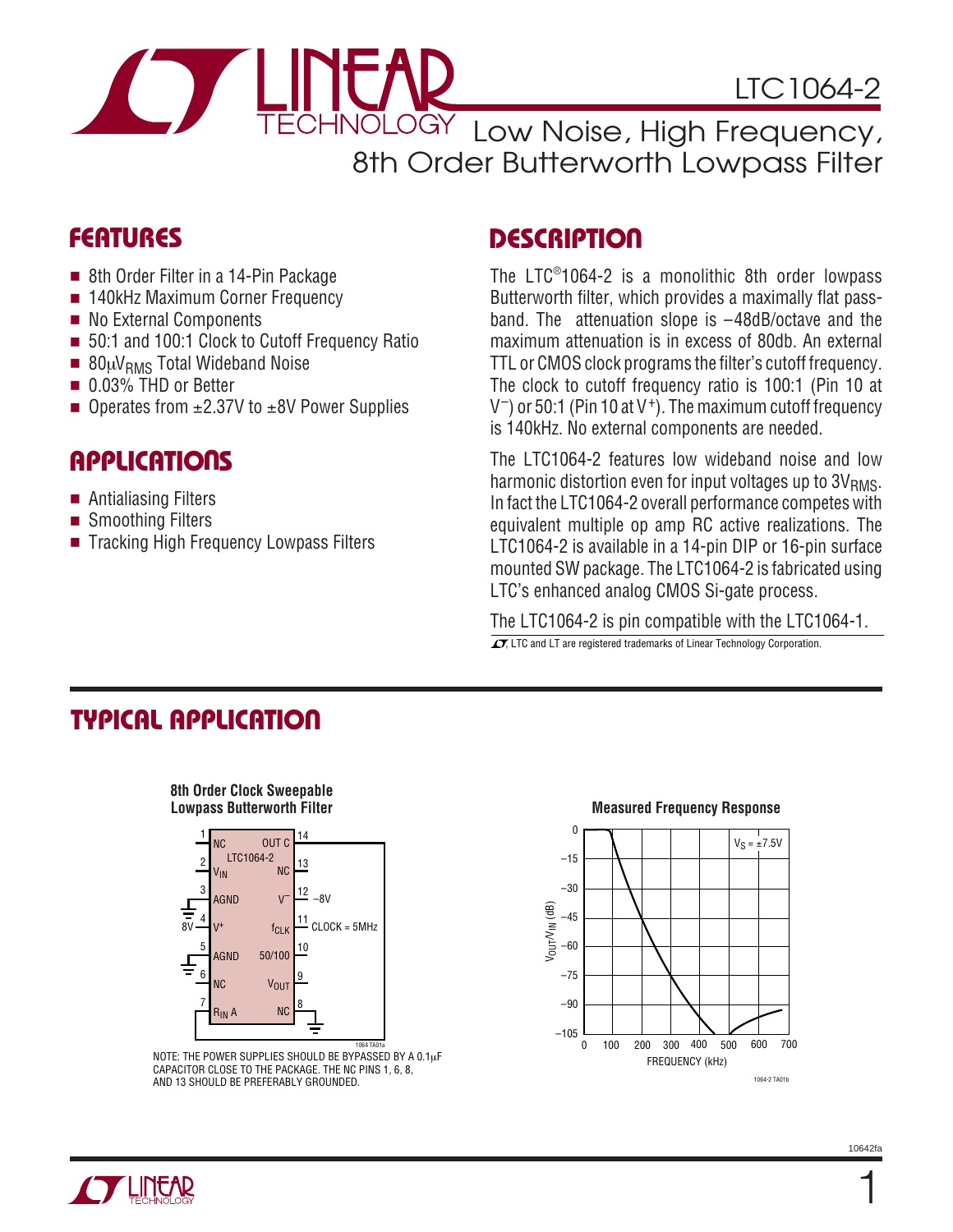

VOLOGY Low Noise, High Frequency, 8th Order Butterworth Lowpass Filter

### **FEATURES**

- 8th Order Filter in a 14-Pin Package
- 140kHz Maximum Corner Frequency
- No External Components
- 50:1 and 100:1 Clock to Cutoff Frequency Ratio
- $\blacksquare$  80µV<sub>RMS</sub> Total Wideband Noise
- 0.03% THD or Better
- Operates from  $\pm 2.37V$  to  $\pm 8V$  Power Supplies

### **APPLICATIONS**

- Antialiasing Filters
- Smoothing Filters
- Tracking High Frequency Lowpass Filters

## **DESCRIPTION**

The LTC® 1064-2 is a monolithic 8th order lowpass Butterworth filter, which provides a maximally flat passband. The attenuation slope is –48dB/octave and the maximum attenuation is in excess of 80db. An external TTL or CMOS clock programs the filter's cutoff frequency. The clock to cutoff frequency ratio is 100:1 (Pin 10 at  $V^-$ ) or 50:1 (Pin 10 at V<sup>+</sup>). The maximum cutoff frequency is 140kHz. No external components are needed.

The LTC1064-2 features low wideband noise and low harmonic distortion even for input voltages up to  $3V<sub>RMS</sub>$ . In fact the LTC1064-2 overall performance competes with equivalent multiple op amp RC active realizations. The LTC1064-2 is available in a 14-pin DIP or 16-pin surface mounted SW package. The LTC1064-2 is fabricated using LTC's enhanced analog CMOS Si-gate process.

The LTC1064-2 is pin compatible with the LTC1064-1.  $\overline{\mathcal{L}}$ , LTC and LT are registered trademarks of Linear Technology Corporation.

## **TYPICAL APPLICATIO U**

# **8th Order Clock Sweepable**



NOTE: THE POWER SUPPLIES SHOULD BE BYPASSED BY A 0.1µF CAPACITOR CLOSE TO THE PACKAGE. THE NC PINS 1, 6, 8, AND 13 SHOULD BE PREFERABLY GROUNDED.

### **Measured Frequency Response**



1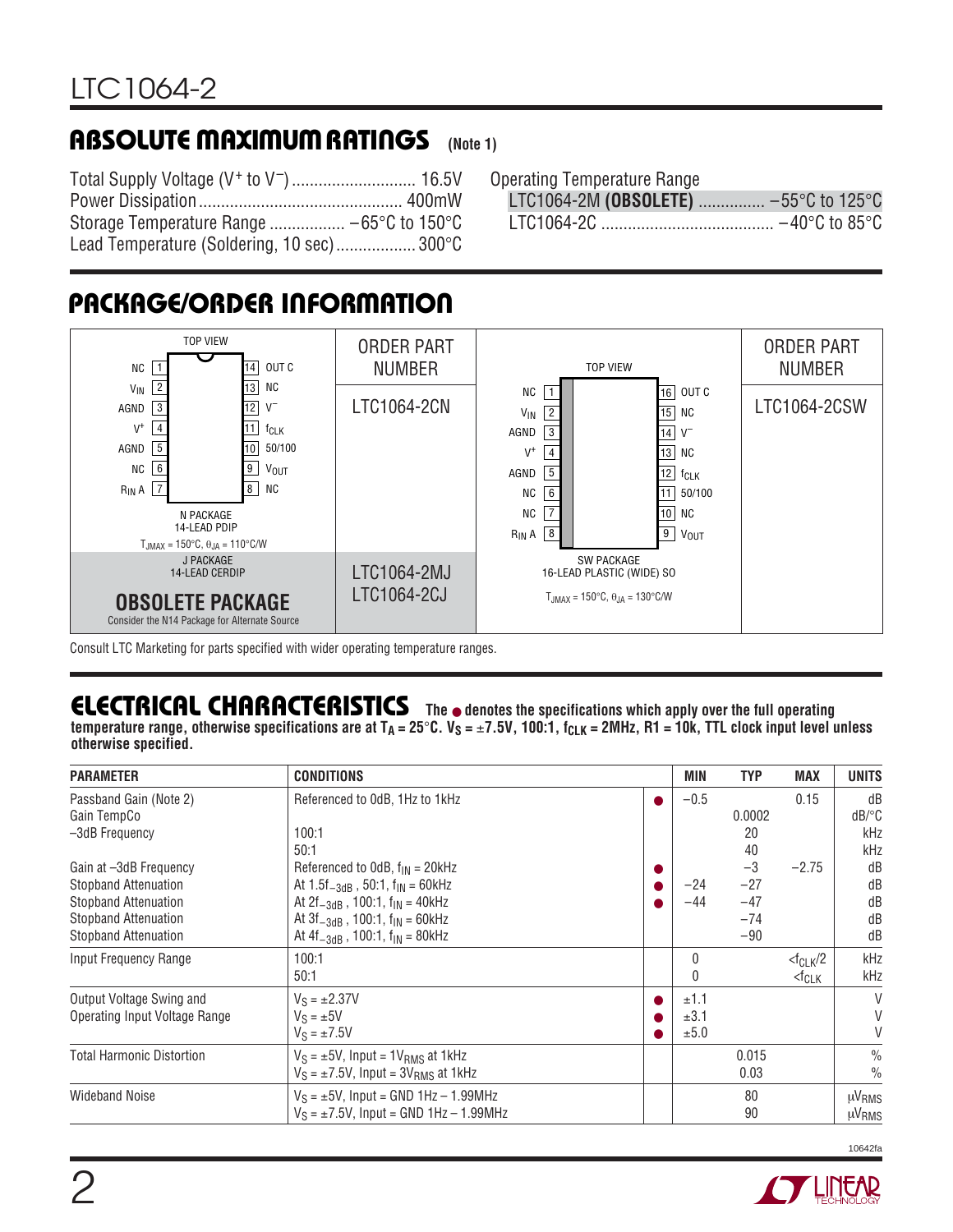### **ABSOLUTE MAXIMUM RATINGS (Note 1)**

Total Supply Voltage (V+ to V–)............................ 16.5V Power Dissipation.............................................. 400mW Storage Temperature Range ................. –65°C to 150°C Lead Temperature (Soldering, 10 sec).................. 300°C

Operating Temperature Range

LTC1064-2M **(OBSOLETE)** ............... –55°C to 125°C LTC1064-2C ....................................... –40°C to 85°C

## **PACKAGE/ORDER INFORMATION**



Consult LTC Marketing for parts specified with wider operating temperature ranges.

### **ELECTRICAL CHARACTERISTICS The** ● **denotes the specifications which apply over the full operating**

temperature range, otherwise specifications are at  $T_A = 25^\circ C$ .  $V_S = \pm 7.5V$ , 100:1,  $f_{CLK} = 2MHz$ , R1 = 10k, TTL clock input level unless **otherwise specified.**

| <b>PARAMETER</b>                                           | <b>CONDITIONS</b>                                                                                          |   | MIN                  | <b>TYP</b>              | <b>MAX</b>                             | <b>UNITS</b>                               |
|------------------------------------------------------------|------------------------------------------------------------------------------------------------------------|---|----------------------|-------------------------|----------------------------------------|--------------------------------------------|
| Passband Gain (Note 2)<br>Gain TempCo                      | Referenced to OdB, 1Hz to 1kHz                                                                             | ● | $-0.5$               | 0.0002                  | 0.15                                   | dB<br>$dB$ <sup><math>\circ</math></sup> C |
| -3dB Frequency                                             | 100:1<br>50:1                                                                                              |   |                      | 20<br>40                |                                        | kHz<br>kHz                                 |
| Gain at -3dB Frequency<br><b>Stopband Attenuation</b>      | Referenced to OdB, $f_{IN} = 20kHz$<br>At $1.5f_{-3dB}$ , 50:1, $f_{IN}$ = 60kHz                           | ● | $-24$                | $-3$<br>$-27$           | $-2.75$                                | dB<br>dB                                   |
| <b>Stopband Attenuation</b><br><b>Stopband Attenuation</b> | At $2f_{-3dB}$ , 100:1, $f_{IN}$ = 40kHz<br>At $3f_{-3dB}$ , 100:1, $f_{IN}$ = 60kHz                       |   | $-44$                | $-47$<br>$-74$<br>$-90$ |                                        | dB<br>dB                                   |
| <b>Stopband Attenuation</b><br>Input Frequency Range       | At $4f_{-3dB}$ , 100:1, $f_{IN}$ = 80kHz<br>100:1<br>50:1                                                  |   | $\Omega$<br>0        |                         | $<$ f <sub>CLK</sub> /2<br>$<$ f $CLK$ | dB<br>kHz<br>kHz                           |
| Output Voltage Swing and<br>Operating Input Voltage Range  | $V_S = \pm 2.37V$<br>$V_S = \pm 5V$<br>$V_S = \pm 7.5V$                                                    |   | ±1.1<br>±3.1<br>±5.0 |                         |                                        | V<br>V<br>V                                |
| <b>Total Harmonic Distortion</b>                           | $V_S = \pm 5V$ , Input = 1V <sub>BMS</sub> at 1kHz<br>$V_S = \pm 7.5V$ , Input = 3V <sub>RMS</sub> at 1kHz |   |                      | 0.015<br>0.03           |                                        | $\frac{0}{0}$<br>$\frac{0}{0}$             |
| <b>Wideband Noise</b>                                      | $V_S = \pm 5V$ , Input = GND 1Hz - 1.99MHz<br>$V_S = \pm 7.5V$ , Input = GND 1Hz - 1.99MHz                 |   |                      | 80<br>90                |                                        | µV <sub>RMS</sub><br>µV <sub>RMS</sub>     |

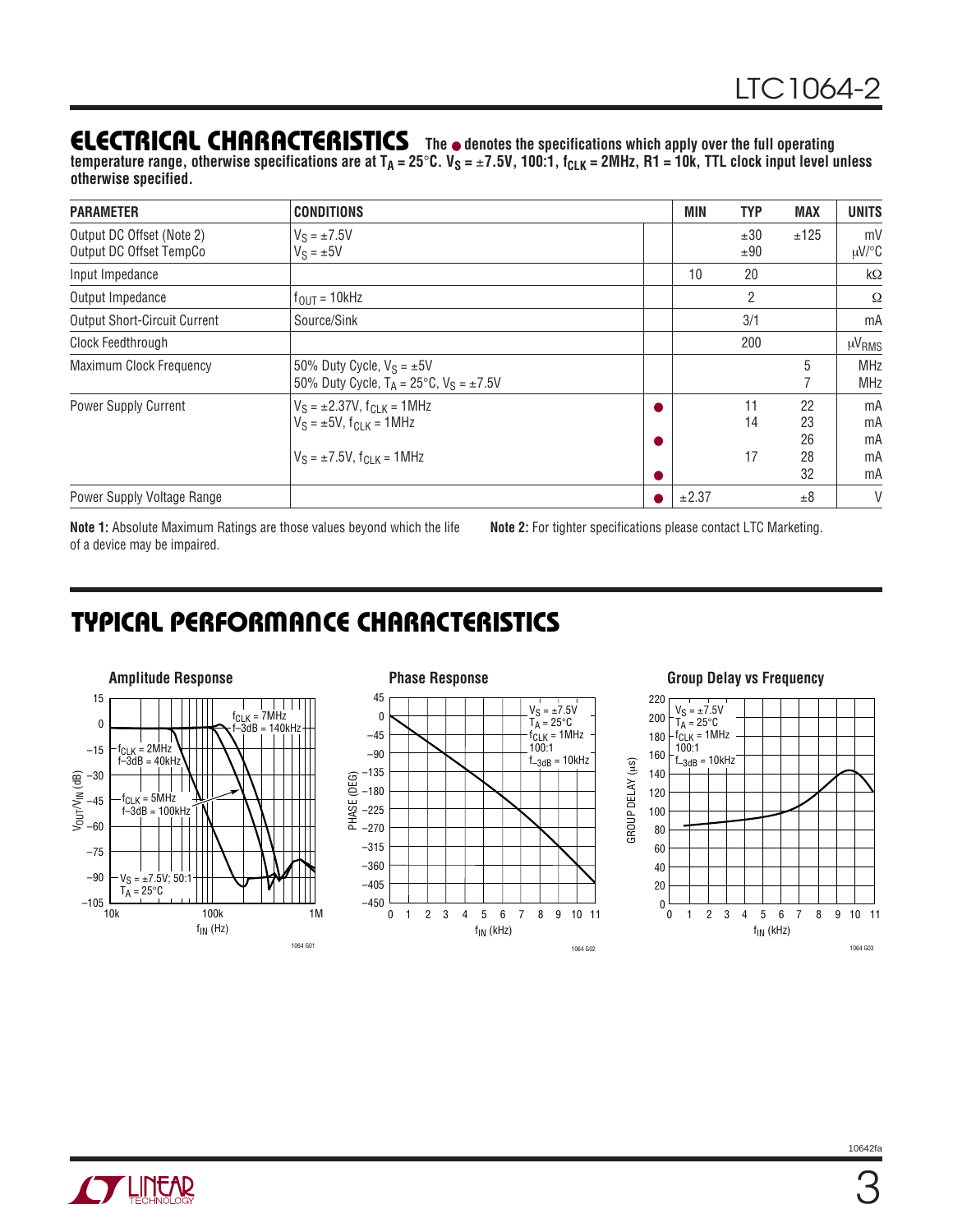### **ELECTRICAL CHARACTERISTICS The** ● **denotes the specifications which apply over the full operating**

temperature range, otherwise specifications are at T<sub>A</sub> = 25°C. V<sub>S</sub> = ±7.5V, 100:1, f<sub>CLK</sub> = 2MHz, R1 = 10k, TTL clock input level unless **otherwise specified.**

| <b>PARAMETER</b>                                     | <b>CONDITIONS</b>                                                                                                   |           | MIN   | <b>TYP</b>     | <b>MAX</b>                 | <b>UNITS</b>               |
|------------------------------------------------------|---------------------------------------------------------------------------------------------------------------------|-----------|-------|----------------|----------------------------|----------------------------|
| Output DC Offset (Note 2)<br>Output DC Offset TempCo | $V_S = \pm 7.5V$<br>$V_S = \pm 5V$                                                                                  |           |       | ±30<br>±90     | ±125                       | mV<br>µV/°C                |
| Input Impedance                                      |                                                                                                                     |           | 10    | 20             |                            | $k\Omega$                  |
| Output Impedance                                     | $f_{\text{OUT}} = 10$ kHz                                                                                           |           |       | 2              |                            | Ω                          |
| <b>Output Short-Circuit Current</b>                  | Source/Sink                                                                                                         |           |       | 3/1            |                            | mA                         |
| Clock Feedthrough                                    |                                                                                                                     |           |       | 200            |                            | µV <sub>RMS</sub>          |
| <b>Maximum Clock Frequency</b>                       | 50% Duty Cycle, $V_S = \pm 5V$<br>50% Duty Cycle, $T_A = 25^{\circ}C$ , $V_S = \pm 7.5V$                            |           |       |                | 5                          | <b>MHz</b><br><b>MHz</b>   |
| Power Supply Current                                 | $V_S = \pm 2.37V$ , $f_{C-K} = 1$ MHz<br>$V_S = \pm 5V$ , $f_{C1 K} = 1 MHz$<br>$V_S = \pm 7.5V$ , $f_{CJK} = 1MHz$ | $\bullet$ |       | 11<br>14<br>17 | 22<br>23<br>26<br>28<br>32 | mA<br>mA<br>mA<br>mA<br>mA |
| Power Supply Voltage Range                           |                                                                                                                     |           | ±2.37 |                | ±8                         | V                          |

**Note 1:** Absolute Maximum Ratings are those values beyond which the life of a device may be impaired.

**Note 2:** For tighter specifications please contact LTC Marketing.

GROUP DELAY (µs)

GROUP DELAY (µs)

# **TYPICAL PERFORMANCE CHARACTERISTICS**





1064 G02



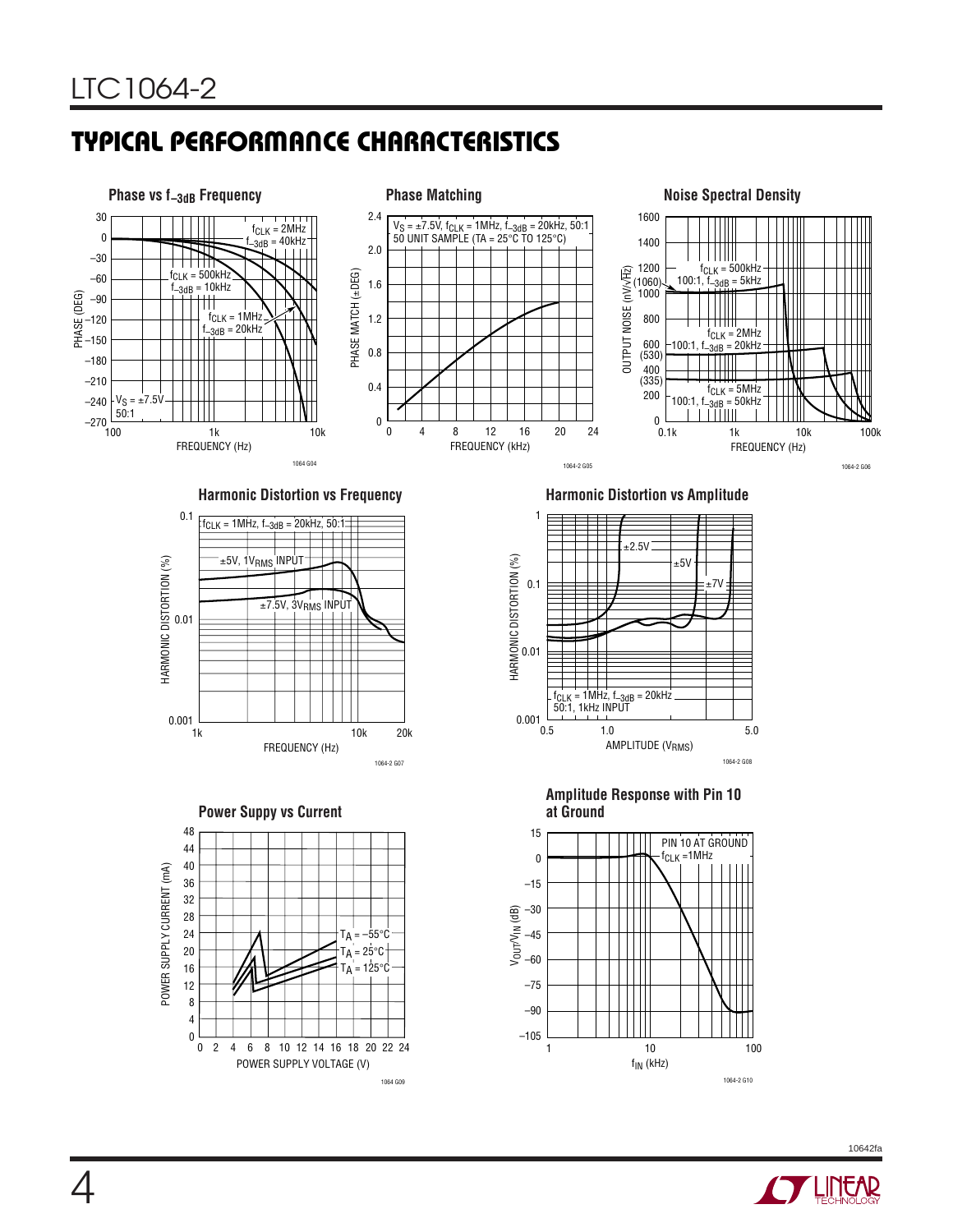# **TYPICAL PERFORMANCE CHARACTERISTICS**



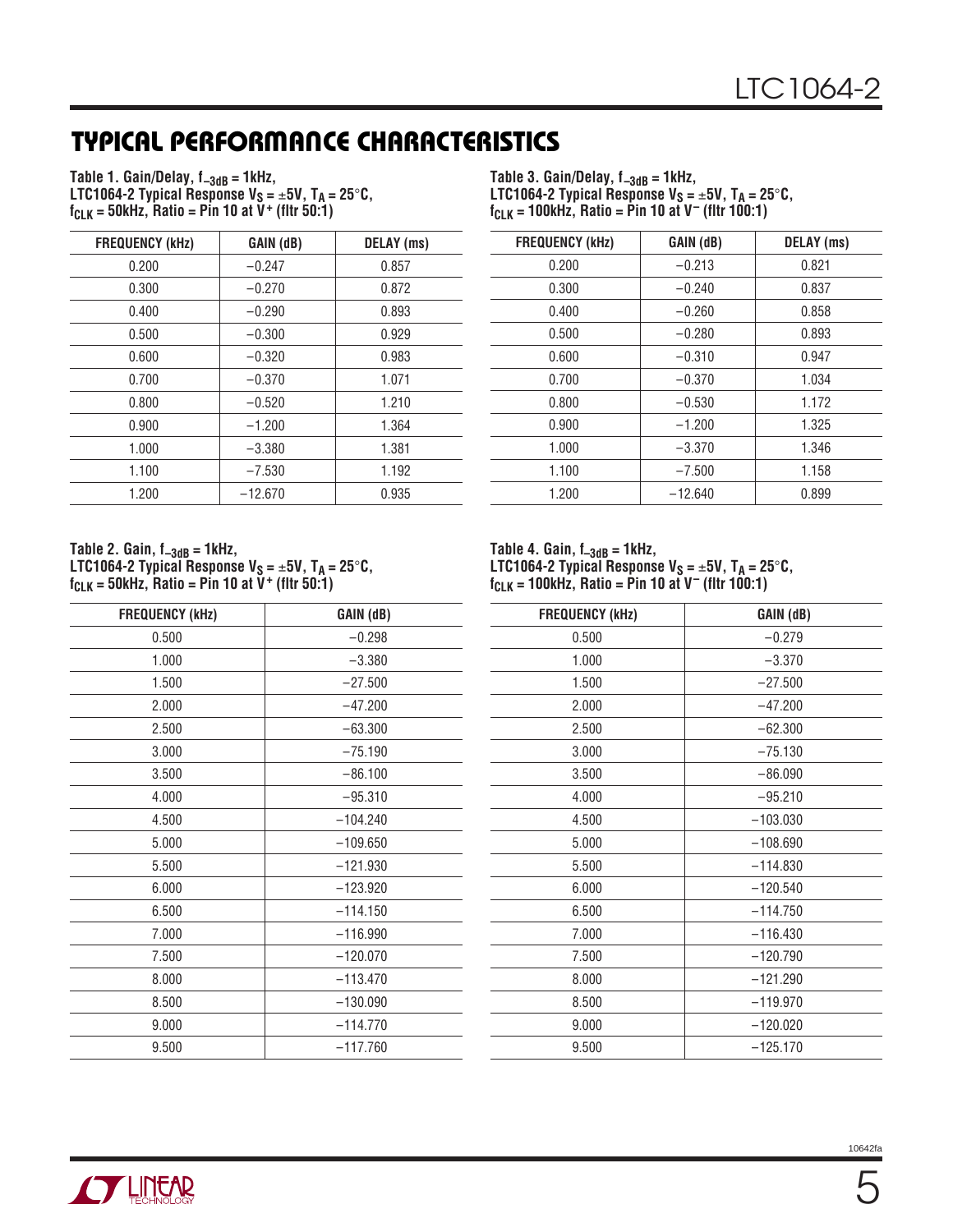# **TYPICAL PERFORMANCE CHARACTERISTICS**

Table 1. Gain/Delay, f<sub>-3dB</sub> = 1kHz, **LTC1064-2 Typical Response**  $V_S = \pm 5V$ **, T<sub>A</sub> = 25°C,**  $f_{CLK} = 50$ kHz, Ratio = Pin 10 at  $V^+$  (fltr 50:1)

| <b>FREQUENCY (kHz)</b> | GAIN (dB) | <b>DELAY</b> (ms) |
|------------------------|-----------|-------------------|
| 0.200                  | $-0.247$  | 0.857             |
| 0.300                  | $-0.270$  | 0.872             |
| 0.400                  | $-0.290$  | 0.893             |
| 0.500                  | $-0.300$  | 0.929             |
| 0.600                  | $-0.320$  | 0.983             |
| 0.700                  | $-0.370$  | 1.071             |
| 0.800                  | $-0.520$  | 1.210             |
| 0.900                  | $-1.200$  | 1.364             |
| 1.000                  | $-3.380$  | 1.381             |
| 1.100                  | $-7.530$  | 1.192             |
| 1.200                  | $-12.670$ | 0.935             |

**Table 2. Gain, f–3dB = 1kHz,** LTC1064-2 Typical Response V<sub>S</sub> = ±5V, T<sub>A</sub> = 25°C, **fCLK = 50kHz, Ratio = Pin 10 at V+ (fltr 50:1)**

| <b>FREQUENCY (kHz)</b> | GAIN (dB)  |
|------------------------|------------|
| 0.500                  | $-0.298$   |
| 1.000                  | $-3.380$   |
| 1.500                  | $-27.500$  |
| 2.000                  | $-47.200$  |
| 2.500                  | $-63.300$  |
| 3.000                  | $-75.190$  |
| 3.500                  | $-86.100$  |
| 4.000                  | $-95.310$  |
| 4.500                  | $-104.240$ |
| 5.000                  | $-109.650$ |
| 5.500                  | $-121.930$ |
| 6.000                  | $-123.920$ |
| 6.500                  | $-114.150$ |
| 7.000                  | $-116.990$ |
| 7.500                  | $-120.070$ |
| 8.000                  | $-113.470$ |
| 8.500                  | $-130.090$ |
| 9.000                  | $-114.770$ |
| 9.500                  | $-117.760$ |

Table 3. Gain/Delay, f<sub>-3dB</sub> = 1kHz, **LTC1064-2 Typical Response**  $V_S = \pm 5V$ **, T<sub>A</sub> = 25** $^{\circ}$ **C, fCLK = 100kHz, Ratio = Pin 10 at V– (fltr 100:1)**

| <b>FREQUENCY (kHz)</b> | GAIN (dB) | DELAY (ms) |
|------------------------|-----------|------------|
| 0.200                  | $-0.213$  | 0.821      |
| 0.300                  | $-0.240$  | 0.837      |
| 0.400                  | $-0.260$  | 0.858      |
| 0.500                  | $-0.280$  | 0.893      |
| 0.600                  | $-0.310$  | 0.947      |
| 0.700                  | $-0.370$  | 1.034      |
| 0.800                  | $-0.530$  | 1.172      |
| 0.900                  | $-1.200$  | 1.325      |
| 1.000                  | $-3.370$  | 1.346      |
| 1.100                  | $-7.500$  | 1.158      |
| 1.200                  | $-12.640$ | 0.899      |

**Table 4. Gain, f–3dB = 1kHz, LTC1064-2 Typical Response**  $V_S = \pm 5V$ **, T<sub>A</sub> = 25°C, fCLK = 100kHz, Ratio = Pin 10 at V– (fltr 100:1)**

| <b>FREQUENCY (kHz)</b> | GAIN (dB)  |
|------------------------|------------|
| 0.500                  | $-0.279$   |
| 1.000                  | $-3.370$   |
| 1.500                  | $-27.500$  |
| 2.000                  | $-47.200$  |
| 2.500                  | $-62.300$  |
| 3.000                  | $-75.130$  |
| 3.500                  | $-86.090$  |
| 4.000                  | $-95.210$  |
| 4.500                  | $-103.030$ |
| 5.000                  | $-108.690$ |
| 5.500                  | $-114.830$ |
| 6.000                  | $-120.540$ |
| 6.500                  | $-114.750$ |
| 7.000                  | $-116.430$ |
| 7.500                  | $-120.790$ |
| 8.000                  | $-121.290$ |
| 8.500                  | $-119.970$ |
| 9.000                  | $-120.020$ |
| 9.500                  | $-125.170$ |

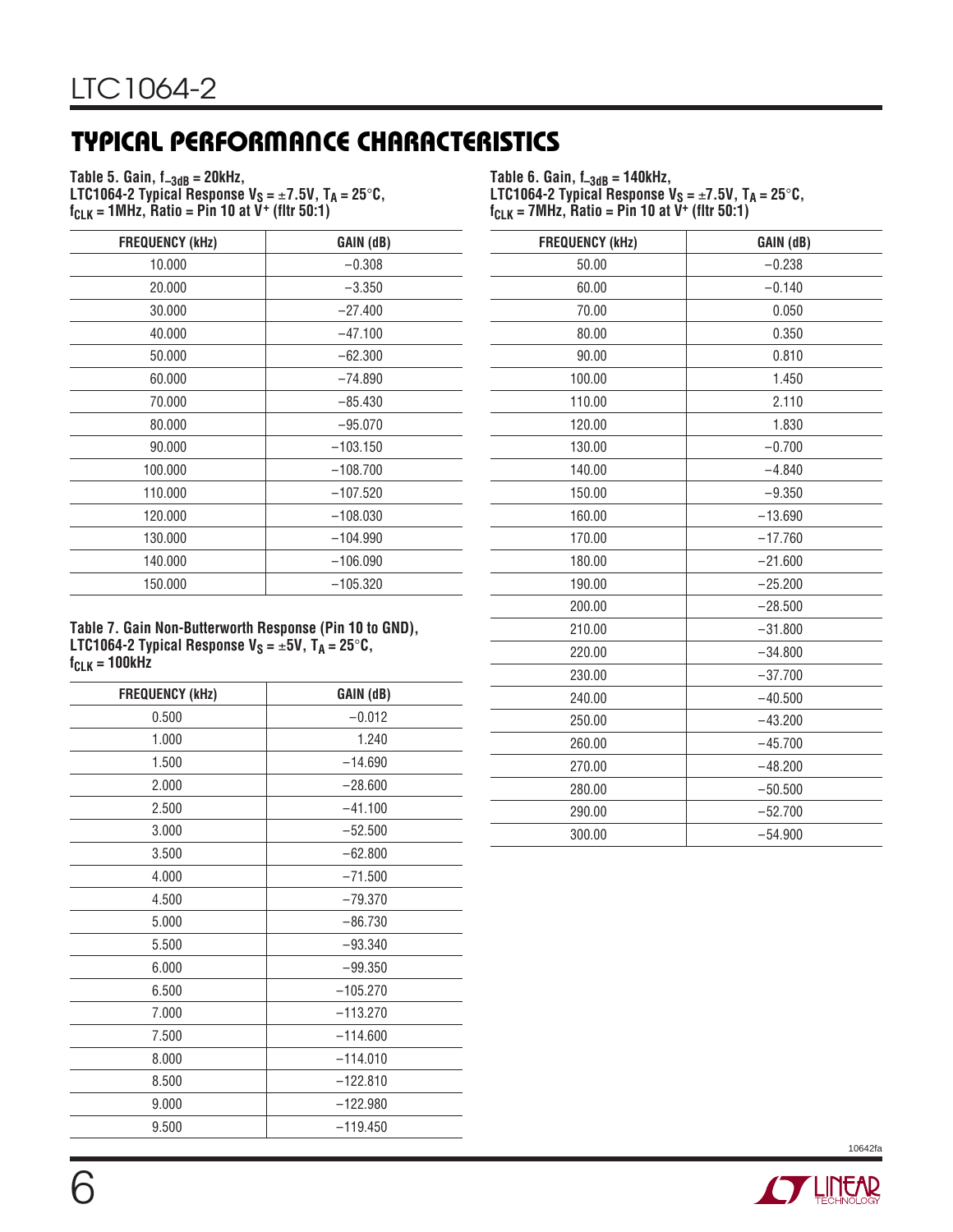# **TYPICAL PERFORMANCE CHARACTERISTICS**

**Table 5. Gain, f–3dB = 20kHz, LTC1064-2 Typical Response**  $V_S = \pm 7.5V$ **, T<sub>A</sub> = 25°C,**  $f_{CLK} = 1$ MHz, Ratio = Pin 10 at  $V^+$  (fltr 50:1)

**Table 6. Gain, f–3dB = 140kHz, LTC1064-2 Typical Response**  $V_S = \pm 7.5V$ **, T<sub>A</sub> = 25°C,**  $f_{CLK} = 7MHz$ , Ratio = Pin 10 at  $V^+$  (fltr 50:1)

| <b>FREQUENCY (kHz)</b> | GAIN (dB)  |
|------------------------|------------|
| 10.000                 | $-0.308$   |
| 20,000                 | $-3.350$   |
| 30.000                 | $-27.400$  |
| 40.000                 | $-47.100$  |
| 50.000                 | $-62.300$  |
| 60.000                 | $-74.890$  |
| 70.000                 | $-85.430$  |
| 80.000                 | $-95.070$  |
| 90.000                 | $-103.150$ |
| 100.000                | $-108.700$ |
| 110.000                | $-107.520$ |
| 120.000                | $-108.030$ |
| 130.000                | $-104.990$ |
| 140.000                | $-106.090$ |
| 150.000                | $-105.320$ |

**Table 7. Gain Non-Butterworth Response (Pin 10 to GND), LTC1064-2 Typical Response**  $V_S = \pm 5V$ **,**  $T_A = 25^\circ \text{C}$ **, fCLK = 100kHz**

| <b>FREQUENCY (kHz)</b> | GAIN (dB)  |
|------------------------|------------|
| 0.500                  | $-0.012$   |
| 1.000                  | 1.240      |
| 1.500                  | $-14.690$  |
| 2.000                  | $-28.600$  |
| 2.500                  | $-41.100$  |
| 3.000                  | $-52.500$  |
| 3.500                  | $-62.800$  |
| 4.000                  | $-71.500$  |
| 4.500                  | $-79.370$  |
| 5.000                  | $-86.730$  |
| 5.500                  | $-93.340$  |
| 6.000                  | $-99.350$  |
| 6.500                  | $-105.270$ |
| 7.000                  | $-113.270$ |
| 7.500                  | $-114.600$ |
| 8.000                  | $-114.010$ |
| 8.500                  | $-122.810$ |
| 9.000                  | $-122.980$ |
| 9.500                  | $-119.450$ |

| <b>FREQUENCY (kHz)</b> | GAIN (dB) |
|------------------------|-----------|
| 50.00                  | $-0.238$  |
| 60.00                  | $-0.140$  |
| 70.00                  | 0.050     |
| 80.00                  | 0.350     |
| 90.00                  | 0.810     |
| 100.00                 | 1.450     |
| 110.00                 | 2.110     |
| 120.00                 | 1.830     |
| 130.00                 | $-0.700$  |
| 140.00                 | $-4.840$  |
| 150.00                 | $-9.350$  |
| 160.00                 | $-13.690$ |
| 170.00                 | $-17.760$ |
| 180.00                 | $-21.600$ |
| 190.00                 | $-25.200$ |
| 200.00                 | $-28.500$ |
| 210.00                 | $-31.800$ |
| 220.00                 | $-34.800$ |
| 230.00                 | $-37.700$ |
| 240.00                 | $-40.500$ |
| 250.00                 | $-43.200$ |
| 260.00                 | $-45.700$ |
| 270.00                 | $-48.200$ |
| 280.00                 | $-50.500$ |
| 290.00                 | $-52.700$ |
| 300.00                 | $-54.900$ |

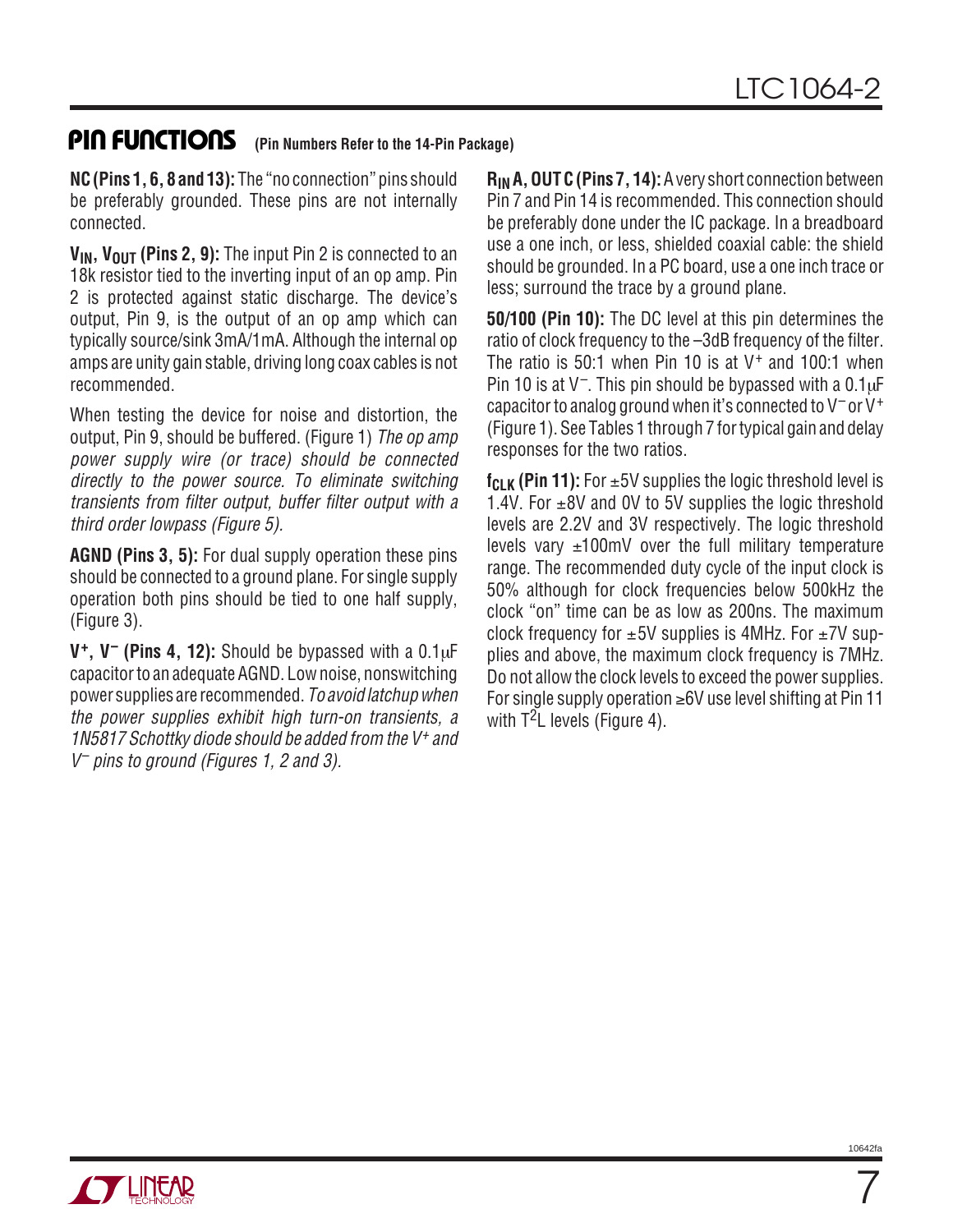### **PIN FUNCTIONS** (Pin Numbers Refer to the 14-Pin Package)

**NC (Pins 1, 6, 8 and 13):** The "no connection" pins should be preferably grounded. These pins are not internally connected.

**V<sub>IN</sub>, V<sub>OUT</sub> (Pins 2, 9):** The input Pin 2 is connected to an 18k resistor tied to the inverting input of an op amp. Pin 2 is protected against static discharge. The device's output, Pin 9, is the output of an op amp which can typically source/sink 3mA/1mA. Although the internal op amps are unity gain stable, driving long coax cables is not recommended.

When testing the device for noise and distortion, the output, Pin 9, should be buffered. (Figure 1) The op amp power supply wire (or trace) should be connected directly to the power source. To eliminate switching transients from filter output, buffer filter output with a third order lowpass (Figure 5).

**AGND (Pins 3, 5):** For dual supply operation these pins should be connected to a ground plane. For single supply operation both pins should be tied to one half supply, (Figure 3).

**V+, V– (Pins 4, 12):** Should be bypassed with a 0.1µF capacitor to an adequate AGND. Low noise, nonswitching power supplies are recommended. To avoid latchup when the power supplies exhibit high turn-on transients, a 1N5817 Schottky diode should be added from the V<sup>+</sup> and V– pins to ground (Figures 1, 2 and 3).

**RIN A, OUT C (Pins 7, 14):**A very short connection between Pin 7 and Pin 14 is recommended. This connection should be preferably done under the IC package. In a breadboard use a one inch, or less, shielded coaxial cable: the shield should be grounded. In a PC board, use a one inch trace or less; surround the trace by a ground plane.

**50/100 (Pin 10):** The DC level at this pin determines the ratio of clock frequency to the –3dB frequency of the filter. The ratio is 50:1 when Pin 10 is at  $V^+$  and 100:1 when Pin 10 is at  $V^-$ . This pin should be bypassed with a 0.1 $\mu$ F capacitor to analog ground when it's connected to  $V^-$  or  $V^+$ (Figure 1). See Tables 1 through 7 for typical gain and delay responses for the two ratios.

**f<sub>CLK</sub>** (Pin 11): For  $\pm$ 5V supplies the logic threshold level is 1.4V. For  $\pm$ 8V and 0V to 5V supplies the logic threshold levels are 2.2V and 3V respectively. The logic threshold levels vary  $\pm 100$ mV over the full military temperature range. The recommended duty cycle of the input clock is 50% although for clock frequencies below 500kHz the clock "on" time can be as low as 200ns. The maximum clock frequency for  $\pm 5V$  supplies is 4MHz. For  $\pm 7V$  supplies and above, the maximum clock frequency is 7MHz. Do not allow the clock levels to exceed the power supplies. For single supply operation ≥6V use level shifting at Pin 11 with  $T^2$ L levels (Figure 4).



10642f

7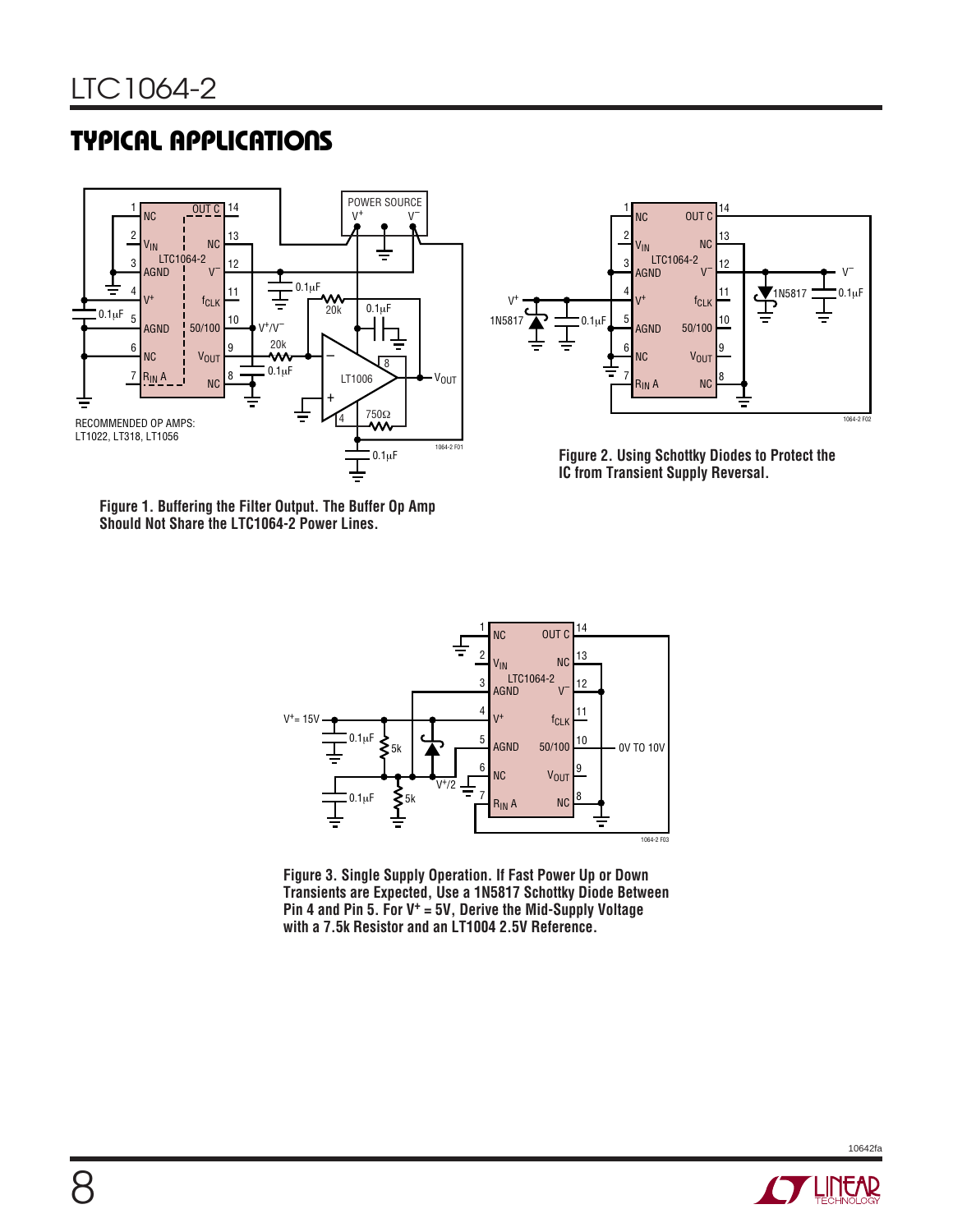## **TYPICAL APPLICATIONS**





**Figure 2. Using Schottky Diodes to Protect the IC from Transient Supply Reversal.**

**Figure 1. Buffering the Filter Output. The Buffer Op Amp Should Not Share the LTC1064-2 Power Lines.**



**Figure 3. Single Supply Operation. If Fast Power Up or Down Transients are Expected, Use a 1N5817 Schottky Diode Between Pin 4 and Pin 5. For V+ = 5V, Derive the Mid-Supply Voltage with a 7.5k Resistor and an LT1004 2.5V Reference.**

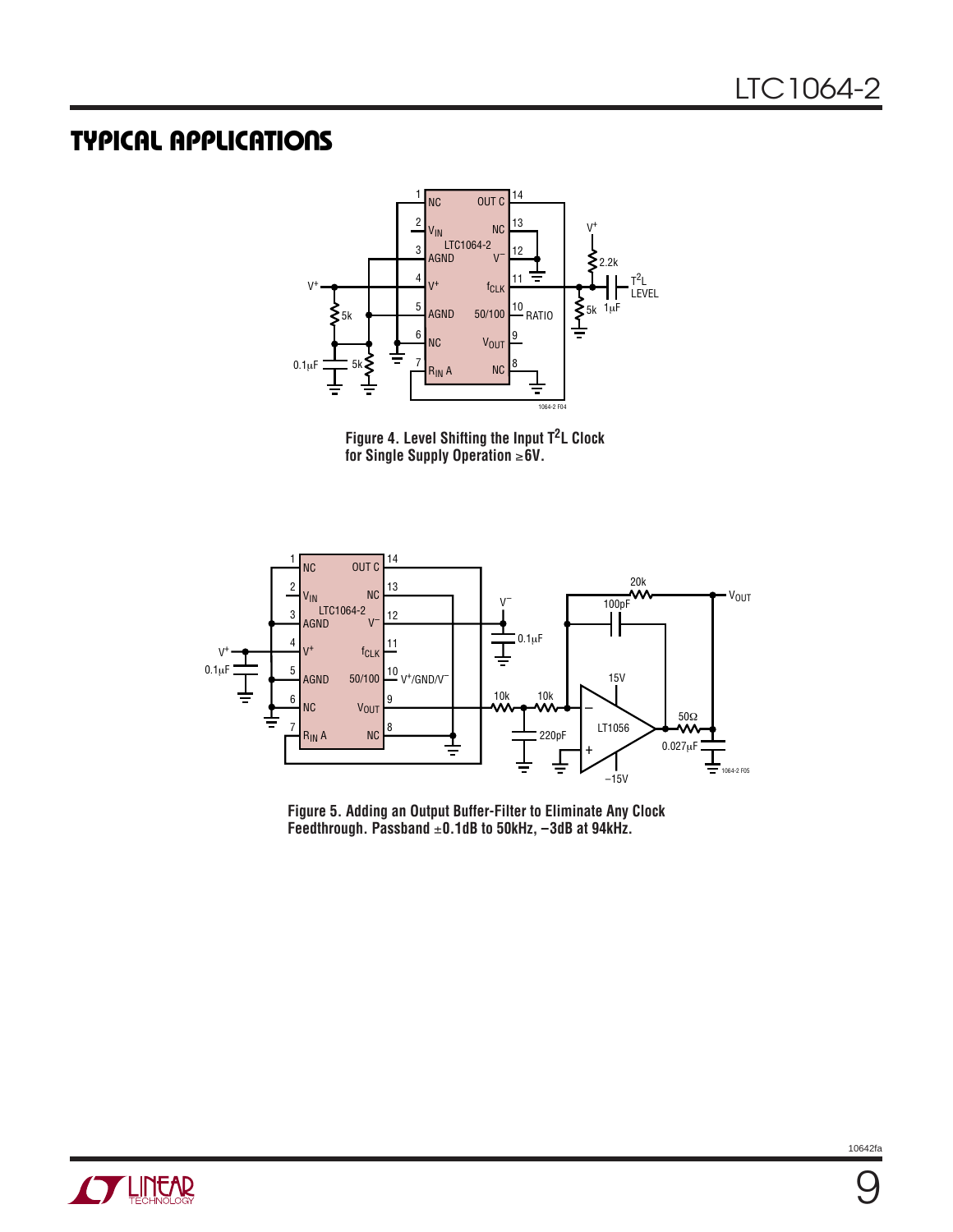## **TYPICAL APPLICATIONS**



**Figure 4. Level Shifting the Input T2L Clock for Single Supply Operation** ≥**6V.**



**Figure 5. Adding an Output Buffer-Filter to Eliminate Any Clock Feedthrough. Passband** ±**0.1dB to 50kHz, –3dB at 94kHz.**

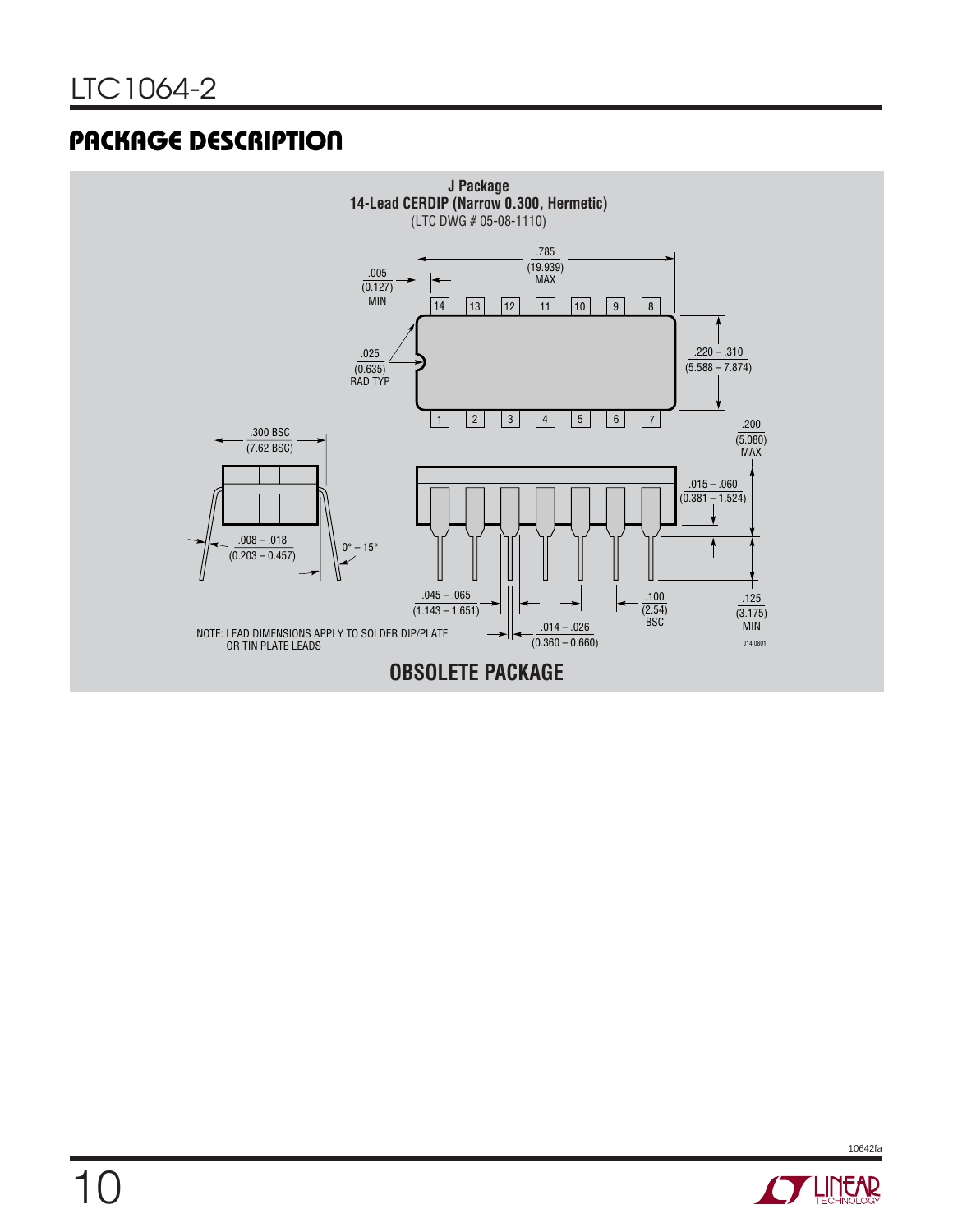## **PACKAGE DESCRIPTION**



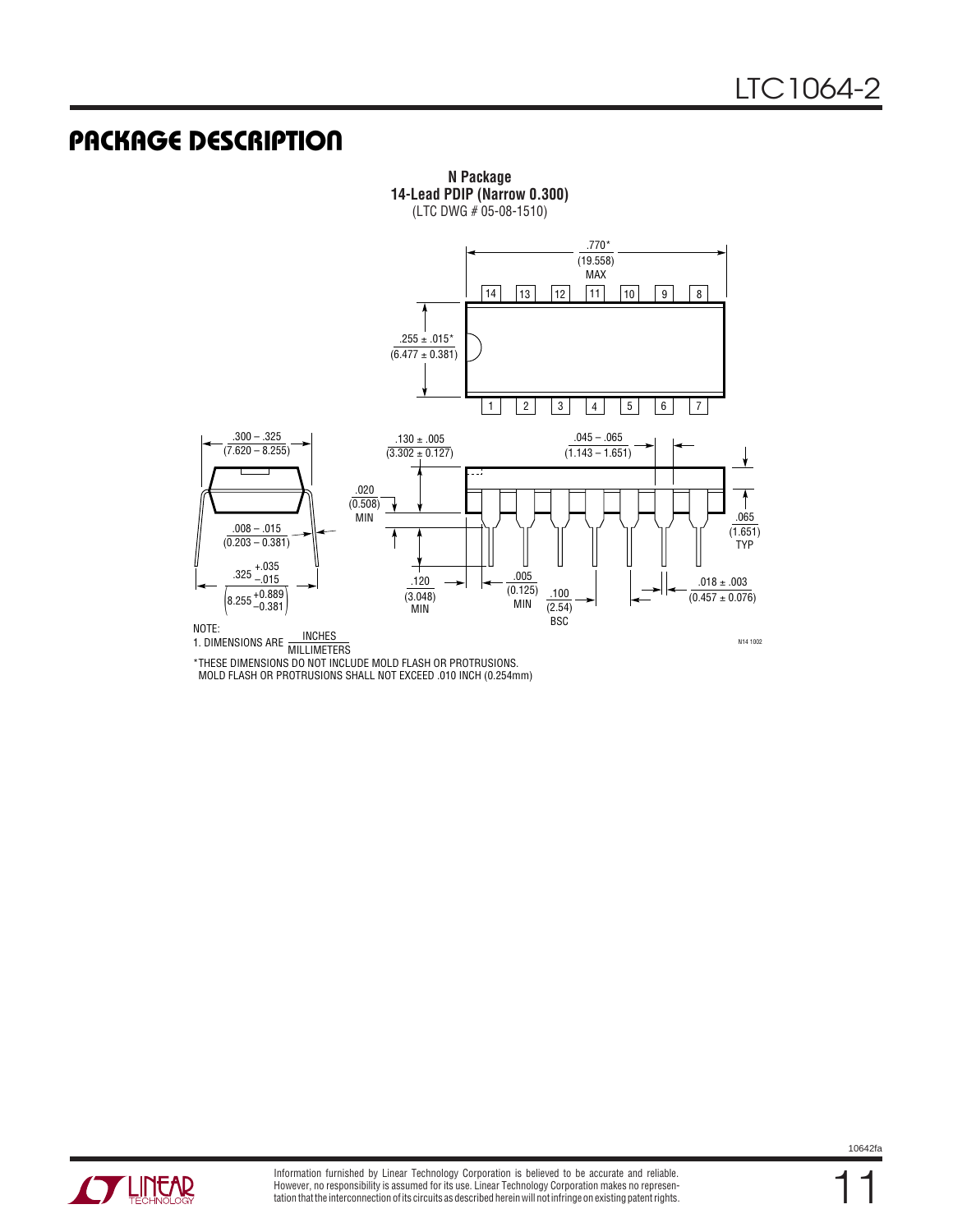### **PACKAGE DESCRIPTION**



**N Package 14-Lead PDIP (Narrow 0.300)** (LTC DWG # 05-08-1510)

\*THESE DIMENSIONS DO NOT INCLUDE MOLD FLASH OR PROTRUSIONS. MOLD FLASH OR PROTRUSIONS SHALL NOT EXCEED .010 INCH (0.254mm)



11